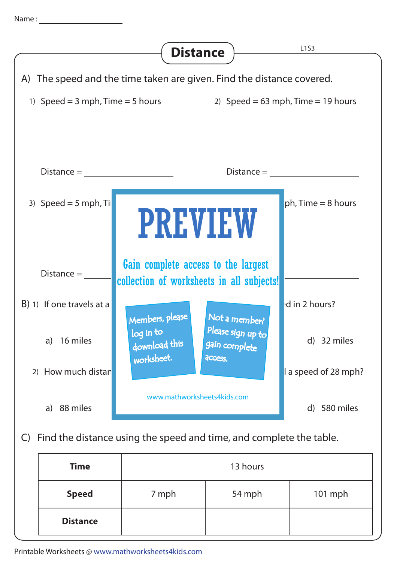